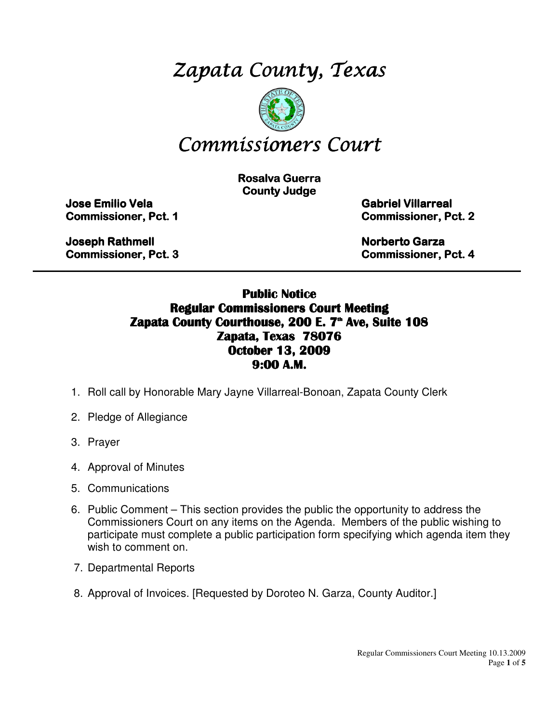# Zapata County, Texas



# Commissioners Court

**Rosalva Guerra County Judge** 

Jose Emilio Vela Emilio Vela Vela Gabriel Villarreal Villarreal Villarreal

**Commissioner, Pct. 1 Commissioner, Pct. 2** 

Joseph Rathmell **Northell** Rathmell Rathmell Rathmell Rathmell Rathmell Rathmell Rathmell Rathmell Rathmell Rathmell Rathmell Rathmell Rathmell Rathmell Rathmell Rathmell Rathmell Rathmell Rathmell Rathmell Rathmell Rathme Commissioner, Pct. 3 3 Commissioner, Pct. 4

#### Public Notice Regular Commissioners Court Meeting Zapata County Courthouse, 200 E. 7<sup>th</sup> Ave, Suite 108 Zapata, Texas 78076 October 13, 2009 9:00 A.M.

 $\_$  , and the contribution of the contribution of the contribution of the contribution of the contribution of  $\mathcal{L}_\text{max}$ 

- 1. Roll call by Honorable Mary Jayne Villarreal-Bonoan, Zapata County Clerk
- 2. Pledge of Allegiance
- 3. Prayer
- 4. Approval of Minutes
- 5. Communications
- 6. Public Comment This section provides the public the opportunity to address the Commissioners Court on any items on the Agenda. Members of the public wishing to participate must complete a public participation form specifying which agenda item they wish to comment on.
- 7. Departmental Reports
- 8. Approval of Invoices. [Requested by Doroteo N. Garza, County Auditor.]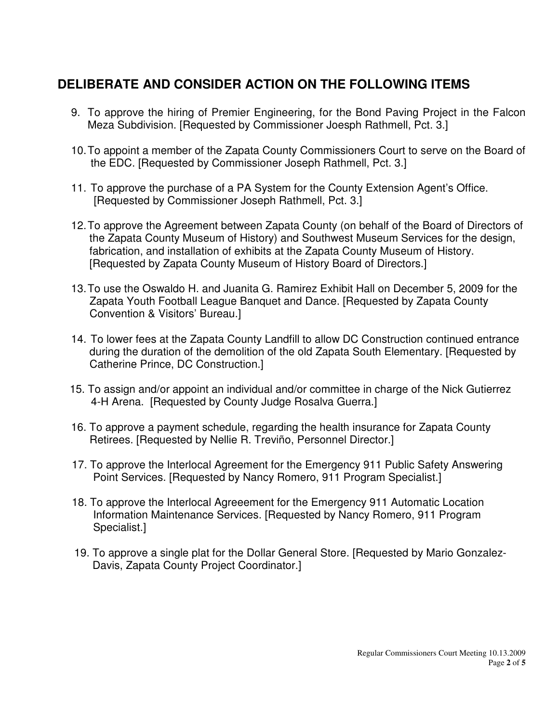### **DELIBERATE AND CONSIDER ACTION ON THE FOLLOWING ITEMS**

- 9. To approve the hiring of Premier Engineering, for the Bond Paving Project in the Falcon Meza Subdivision. [Requested by Commissioner Joesph Rathmell, Pct. 3.]
- 10. To appoint a member of the Zapata County Commissioners Court to serve on the Board of the EDC. [Requested by Commissioner Joseph Rathmell, Pct. 3.]
- 11. To approve the purchase of a PA System for the County Extension Agent's Office. [Requested by Commissioner Joseph Rathmell, Pct. 3.]
- 12. To approve the Agreement between Zapata County (on behalf of the Board of Directors of the Zapata County Museum of History) and Southwest Museum Services for the design, fabrication, and installation of exhibits at the Zapata County Museum of History. [Requested by Zapata County Museum of History Board of Directors.]
- 13. To use the Oswaldo H. and Juanita G. Ramirez Exhibit Hall on December 5, 2009 for the Zapata Youth Football League Banquet and Dance. [Requested by Zapata County Convention & Visitors' Bureau.]
- 14. To lower fees at the Zapata County Landfill to allow DC Construction continued entrance during the duration of the demolition of the old Zapata South Elementary. [Requested by Catherine Prince, DC Construction.]
- 15. To assign and/or appoint an individual and/or committee in charge of the Nick Gutierrez 4-H Arena. [Requested by County Judge Rosalva Guerra.]
- 16. To approve a payment schedule, regarding the health insurance for Zapata County Retirees. [Requested by Nellie R. Treviño, Personnel Director.]
- 17. To approve the Interlocal Agreement for the Emergency 911 Public Safety Answering Point Services. [Requested by Nancy Romero, 911 Program Specialist.]
- 18. To approve the Interlocal Agreeement for the Emergency 911 Automatic Location Information Maintenance Services. [Requested by Nancy Romero, 911 Program Specialist.]
- 19. To approve a single plat for the Dollar General Store. [Requested by Mario Gonzalez- Davis, Zapata County Project Coordinator.]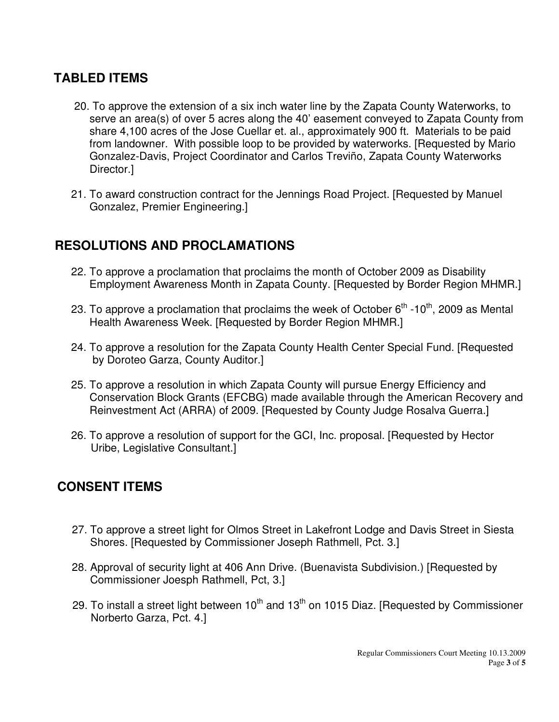#### **TABLED ITEMS**

- 20. To approve the extension of a six inch water line by the Zapata County Waterworks, to serve an area(s) of over 5 acres along the 40' easement conveyed to Zapata County from share 4,100 acres of the Jose Cuellar et. al., approximately 900 ft. Materials to be paid from landowner. With possible loop to be provided by waterworks. [Requested by Mario Gonzalez-Davis, Project Coordinator and Carlos Treviño, Zapata County Waterworks Director.]
- 21. To award construction contract for the Jennings Road Project. [Requested by Manuel Gonzalez, Premier Engineering.]

#### **RESOLUTIONS AND PROCLAMATIONS**

- 22. To approve a proclamation that proclaims the month of October 2009 as Disability Employment Awareness Month in Zapata County. [Requested by Border Region MHMR.]
- 23. To approve a proclamation that proclaims the week of October  $6<sup>th</sup>$  -10<sup>th</sup>, 2009 as Mental Health Awareness Week. [Requested by Border Region MHMR.]
- 24. To approve a resolution for the Zapata County Health Center Special Fund. [Requested by Doroteo Garza, County Auditor.]
- 25. To approve a resolution in which Zapata County will pursue Energy Efficiency and Conservation Block Grants (EFCBG) made available through the American Recovery and Reinvestment Act (ARRA) of 2009. [Requested by County Judge Rosalva Guerra.]
- 26. To approve a resolution of support for the GCI, Inc. proposal. [Requested by Hector Uribe, Legislative Consultant.]

#### **CONSENT ITEMS**

- 27. To approve a street light for Olmos Street in Lakefront Lodge and Davis Street in Siesta Shores. [Requested by Commissioner Joseph Rathmell, Pct. 3.]
- 28. Approval of security light at 406 Ann Drive. (Buenavista Subdivision.) [Requested by Commissioner Joesph Rathmell, Pct, 3.]
- 29. To install a street light between  $10^{th}$  and  $13^{th}$  on 1015 Diaz. [Requested by Commissioner Norberto Garza, Pct. 4.]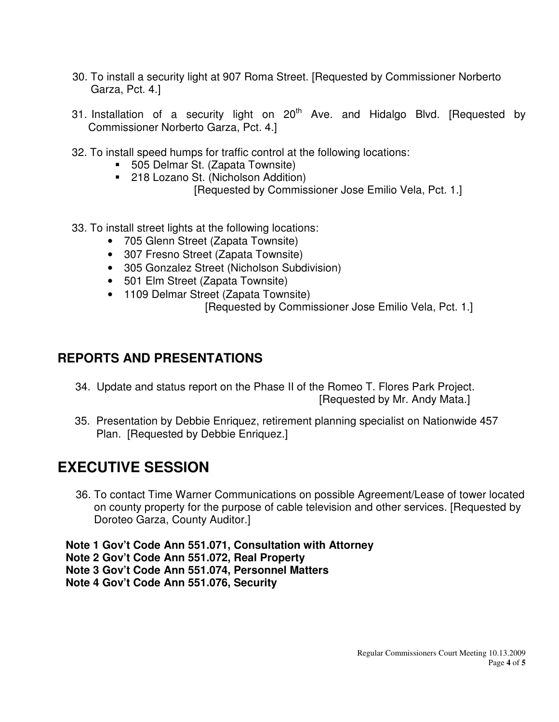- 30. To install a security light at 907 Roma Street. [Requested by Commissioner Norberto Garza, Pct. 4.]
- 31. Installation of a security light on  $20<sup>th</sup>$  Ave. and Hidalgo Blvd. [Requested by Commissioner Norberto Garza, Pct. 4.]
- 32. To install speed humps for traffic control at the following locations:
	- 505 Delmar St. (Zapata Townsite)
	- 218 Lozano St. (Nicholson Addition) [Requested by Commissioner Jose Emilio Vela, Pct. 1.]
- 33. To install street lights at the following locations:
	- 705 Glenn Street (Zapata Townsite)
	- 307 Fresno Street (Zapata Townsite)
	- 305 Gonzalez Street (Nicholson Subdivision)
	- 501 Elm Street (Zapata Townsite)
	- 1109 Delmar Street (Zapata Townsite) [Requested by Commissioner Jose Emilio Vela, Pct. 1.]

#### **REPORTS AND PRESENTATIONS**

- 34. Update and status report on the Phase II of the Romeo T. Flores Park Project. [Requested by Mr. Andy Mata.]
- 35. Presentation by Debbie Enriquez, retirement planning specialist on Nationwide 457 Plan. [Requested by Debbie Enriquez.]

## **EXECUTIVE SESSION**

36. To contact Time Warner Communications on possible Agreement/Lease of tower located on county property for the purpose of cable television and other services. [Requested by Doroteo Garza, County Auditor.]

**Note 1 Gov't Code Ann 551.071, Consultation with Attorney Note 2 Gov't Code Ann 551.072, Real Property Note 3 Gov't Code Ann 551.074, Personnel Matters Note 4 Gov't Code Ann 551.076, Security**